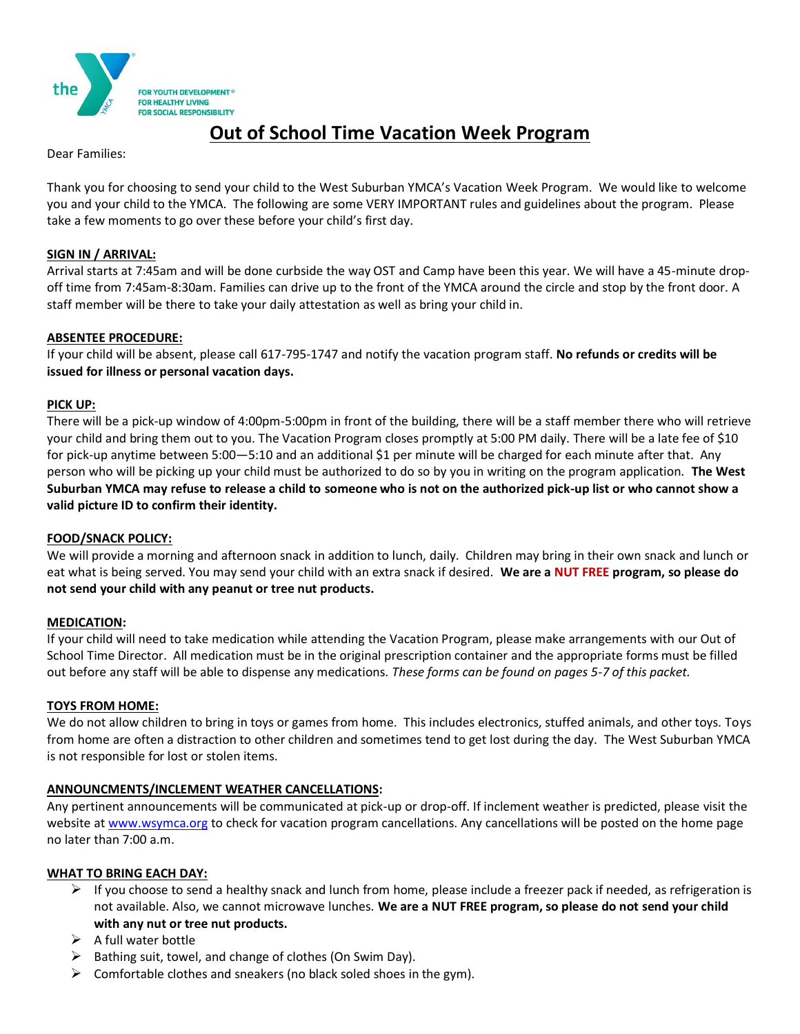

# **Out of School Time Vacation Week Program**

Dear Families:

Thank you for choosing to send your child to the West Suburban YMCA's Vacation Week Program. We would like to welcome you and your child to the YMCA. The following are some VERY IMPORTANT rules and guidelines about the program. Please take a few moments to go over these before your child's first day.

### **SIGN IN / ARRIVAL:**

Arrival starts at 7:45am and will be done curbside the way OST and Camp have been this year. We will have a 45-minute dropoff time from 7:45am-8:30am. Families can drive up to the front of the YMCA around the circle and stop by the front door. A staff member will be there to take your daily attestation as well as bring your child in.

## **ABSENTEE PROCEDURE:**

If your child will be absent, please call 617-795-1747 and notify the vacation program staff. **No refunds or credits will be issued for illness or personal vacation days.**

## **PICK UP:**

There will be a pick-up window of 4:00pm-5:00pm in front of the building, there will be a staff member there who will retrieve your child and bring them out to you. The Vacation Program closes promptly at 5:00 PM daily. There will be a late fee of \$10 for pick-up anytime between 5:00—5:10 and an additional \$1 per minute will be charged for each minute after that. Any person who will be picking up your child must be authorized to do so by you in writing on the program application. **The West Suburban YMCA may refuse to release a child to someone who is not on the authorized pick-up list or who cannot show a valid picture ID to confirm their identity.**

#### **FOOD/SNACK POLICY:**

We will provide a morning and afternoon snack in addition to lunch, daily. Children may bring in their own snack and lunch or eat what is being served. You may send your child with an extra snack if desired. **We are a NUT FREE program, so please do not send your child with any peanut or tree nut products.**

#### **MEDICATION:**

If your child will need to take medication while attending the Vacation Program, please make arrangements with our Out of School Time Director. All medication must be in the original prescription container and the appropriate forms must be filled out before any staff will be able to dispense any medications. *These forms can be found on pages 5-7 of this packet.*

#### **TOYS FROM HOME:**

We do not allow children to bring in toys or games from home. This includes electronics, stuffed animals, and other toys. Toys from home are often a distraction to other children and sometimes tend to get lost during the day. The West Suburban YMCA is not responsible for lost or stolen items.

## **ANNOUNCMENTS/INCLEMENT WEATHER CANCELLATIONS:**

Any pertinent announcements will be communicated at pick-up or drop-off. If inclement weather is predicted, please visit the website at www.wsymca.org to check for vacation program cancellations. Any cancellations will be posted on the home page no later than 7:00 a.m.

#### **WHAT TO BRING EACH DAY:**

- $\triangleright$  If you choose to send a healthy snack and lunch from home, please include a freezer pack if needed, as refrigeration is not available. Also, we cannot microwave lunches. **We are a NUT FREE program, so please do not send your child with any nut or tree nut products.**
- $\triangleright$  A full water bottle
- Bathing suit, towel, and change of clothes (On Swim Day).
- $\triangleright$  Comfortable clothes and sneakers (no black soled shoes in the gym).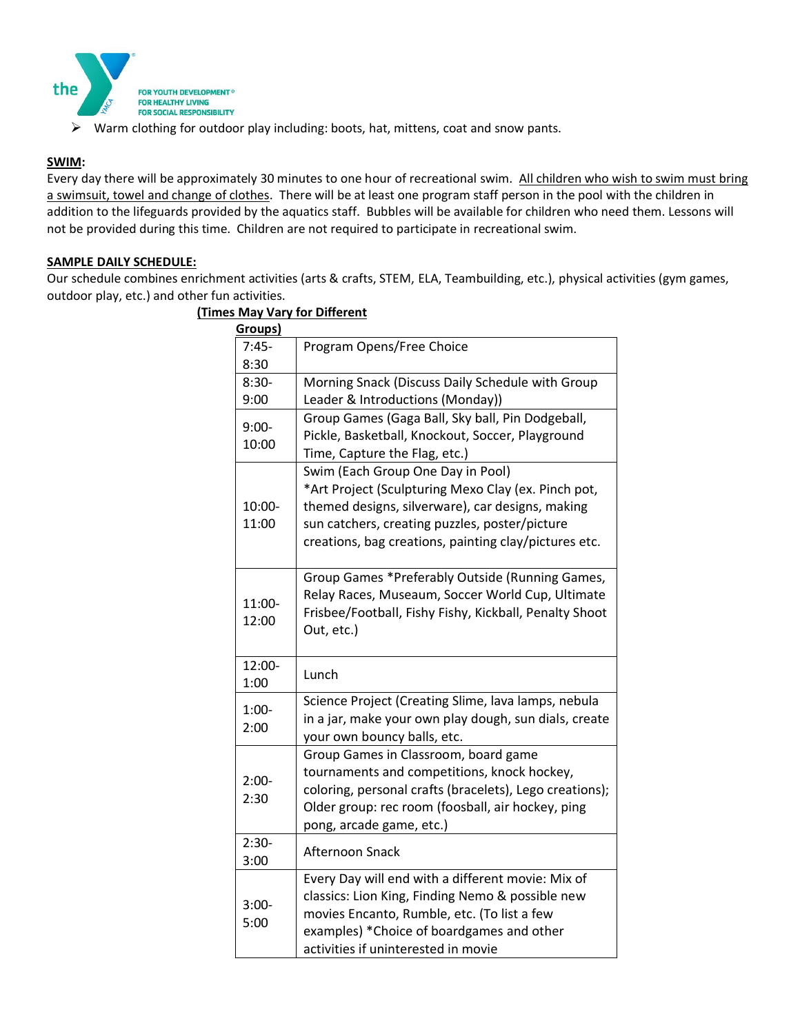

*A* FOR HEALTHY LIVING<br> **EXECUTE:** FOR SOCIAL RESPONSIBILITY<br> **EXECUTE:** Warm clothing for outdoor play including: boots, hat, mittens, coat and snow pants.

## **SWIM:**

Every day there will be approximately 30 minutes to one hour of recreational swim. All children who wish to swim must bring a swimsuit, towel and change of clothes. There will be at least one program staff person in the pool with the children in addition to the lifeguards provided by the aquatics staff. Bubbles will be available for children who need them. Lessons will not be provided during this time. Children are not required to participate in recreational swim.

## **SAMPLE DAILY SCHEDULE:**

Our schedule combines enrichment activities (arts & crafts, STEM, ELA, Teambuilding, etc.), physical activities (gym games, outdoor play, etc.) and other fun activities.

| Groups)          |                                                                                                                                                                                                                                                         |
|------------------|---------------------------------------------------------------------------------------------------------------------------------------------------------------------------------------------------------------------------------------------------------|
| $7:45-$          | Program Opens/Free Choice                                                                                                                                                                                                                               |
| 8:30             |                                                                                                                                                                                                                                                         |
| $8:30-$          | Morning Snack (Discuss Daily Schedule with Group                                                                                                                                                                                                        |
| 9:00             | Leader & Introductions (Monday))                                                                                                                                                                                                                        |
| $9:00-$<br>10:00 | Group Games (Gaga Ball, Sky ball, Pin Dodgeball,<br>Pickle, Basketball, Knockout, Soccer, Playground<br>Time, Capture the Flag, etc.)                                                                                                                   |
| 10:00-<br>11:00  | Swim (Each Group One Day in Pool)<br>*Art Project (Sculpturing Mexo Clay (ex. Pinch pot,<br>themed designs, silverware), car designs, making<br>sun catchers, creating puzzles, poster/picture<br>creations, bag creations, painting clay/pictures etc. |
| 11:00-<br>12:00  | Group Games *Preferably Outside (Running Games,<br>Relay Races, Museaum, Soccer World Cup, Ultimate<br>Frisbee/Football, Fishy Fishy, Kickball, Penalty Shoot<br>Out, etc.)                                                                             |
| 12:00-<br>1:00   | Lunch                                                                                                                                                                                                                                                   |
| $1:00-$<br>2:00  | Science Project (Creating Slime, lava lamps, nebula<br>in a jar, make your own play dough, sun dials, create<br>your own bouncy balls, etc.                                                                                                             |
| $2:00-$<br>2:30  | Group Games in Classroom, board game<br>tournaments and competitions, knock hockey,<br>coloring, personal crafts (bracelets), Lego creations);<br>Older group: rec room (foosball, air hockey, ping<br>pong, arcade game, etc.)                         |
| $2:30-$<br>3:00  | Afternoon Snack                                                                                                                                                                                                                                         |
| $3:00-$<br>5:00  | Every Day will end with a different movie: Mix of<br>classics: Lion King, Finding Nemo & possible new<br>movies Encanto, Rumble, etc. (To list a few<br>examples) *Choice of boardgames and other<br>activities if uninterested in movie                |

## **(Times May Vary for Different**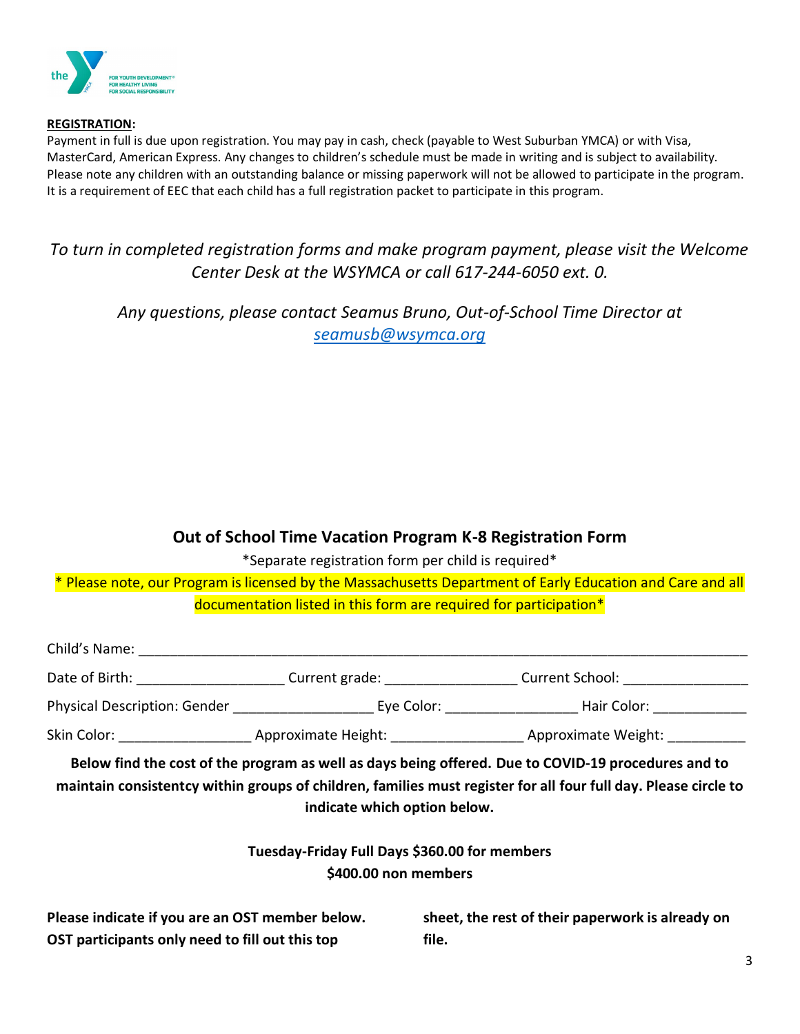

## **REGISTRATION:**

Payment in full is due upon registration. You may pay in cash, check (payable to West Suburban YMCA) or with Visa, MasterCard, American Express. Any changes to children's schedule must be made in writing and is subject to availability. Please note any children with an outstanding balance or missing paperwork will not be allowed to participate in the program. It is a requirement of EEC that each child has a full registration packet to participate in this program.

## *To turn in completed registration forms and make program payment, please visit the Welcome Center Desk at the WSYMCA or call 617-244-6050 ext. 0.*

*Any questions, please contact Seamus Bruno, Out-of-School Time Director at [seamusb@wsymca.org](mailto:seamusb@wsymca.org)*

## **Out of School Time Vacation Program K-8 Registration Form**

\*Separate registration form per child is required\*

\* Please note, our Program is licensed by the Massachusetts Department of Early Education and Care and all documentation listed in this form are required for participation\*

|                                                 |                                               |                      | Date of Birth: _________________________Current grade: ______________________Current School: _________________                          |
|-------------------------------------------------|-----------------------------------------------|----------------------|-----------------------------------------------------------------------------------------------------------------------------------------|
|                                                 |                                               |                      | Physical Description: Gender ___________________________ Eye Color: __________________________Hair Color: _____________________________ |
|                                                 |                                               |                      |                                                                                                                                         |
|                                                 | indicate which option below.                  |                      | maintain consistentcy within groups of children, families must register for all four full day. Please circle to                         |
|                                                 |                                               |                      |                                                                                                                                         |
|                                                 | Tuesday-Friday Full Days \$360.00 for members |                      |                                                                                                                                         |
|                                                 |                                               | \$400.00 non members |                                                                                                                                         |
| Please indicate if you are an OST member below. |                                               |                      | sheet, the rest of their paperwork is already on                                                                                        |

**OST participants only need to fill out this top** 

**file.**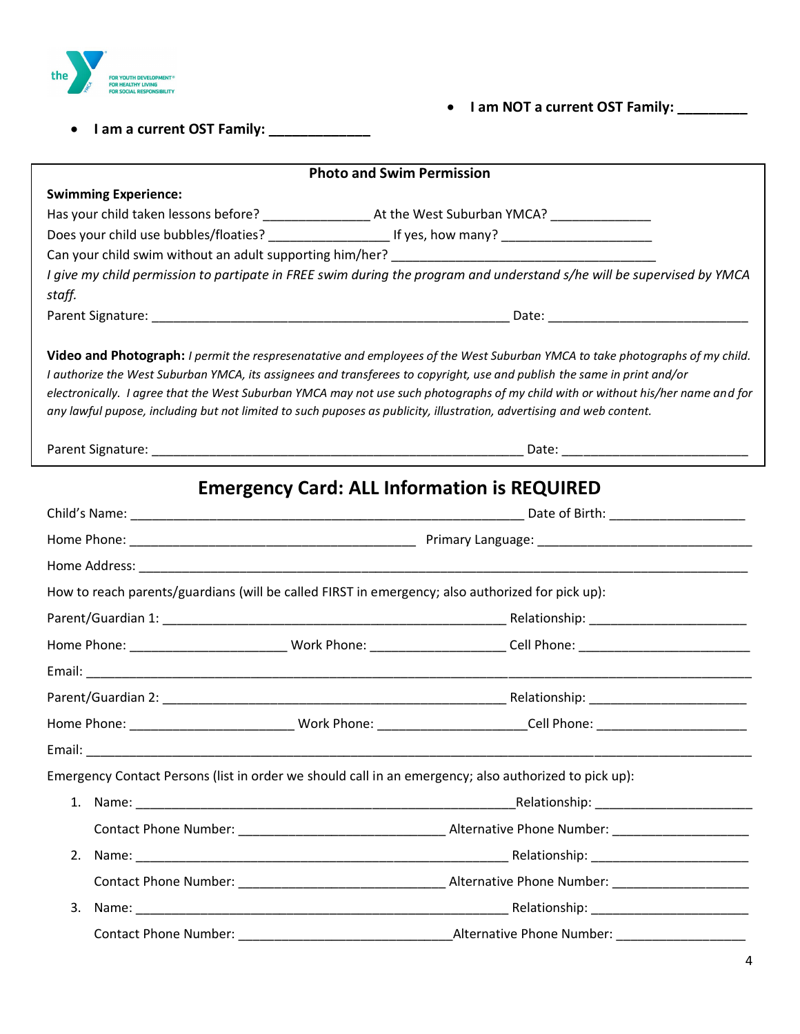

• **I am NOT a current OST Family: \_\_\_\_\_\_\_\_\_**

• **I am a current OST Family: \_\_\_\_\_\_\_\_\_\_\_\_\_**

|        |                             | <b>Photo and Swim Permission</b>                                                                                                                                                                                                                                                                                                                                                                                                                                                                                       |
|--------|-----------------------------|------------------------------------------------------------------------------------------------------------------------------------------------------------------------------------------------------------------------------------------------------------------------------------------------------------------------------------------------------------------------------------------------------------------------------------------------------------------------------------------------------------------------|
|        | <b>Swimming Experience:</b> |                                                                                                                                                                                                                                                                                                                                                                                                                                                                                                                        |
|        |                             |                                                                                                                                                                                                                                                                                                                                                                                                                                                                                                                        |
|        |                             | Does your child use bubbles/floaties? __________________________ If yes, how many? ___________________________                                                                                                                                                                                                                                                                                                                                                                                                         |
|        |                             | Can your child swim without an adult supporting him/her? ________________________                                                                                                                                                                                                                                                                                                                                                                                                                                      |
| staff. |                             | I give my child permission to partipate in FREE swim during the program and understand s/he will be supervised by YMCA                                                                                                                                                                                                                                                                                                                                                                                                 |
|        |                             |                                                                                                                                                                                                                                                                                                                                                                                                                                                                                                                        |
|        |                             | Video and Photograph: I permit the respresenatative and employees of the West Suburban YMCA to take photographs of my child.<br>I authorize the West Suburban YMCA, its assignees and transferees to copyright, use and publish the same in print and/or<br>electronically. I agree that the West Suburban YMCA may not use such photographs of my child with or without his/her name and for<br>any lawful pupose, including but not limited to such puposes as publicity, illustration, advertising and web content. |
|        |                             |                                                                                                                                                                                                                                                                                                                                                                                                                                                                                                                        |
|        |                             | <b>Emergency Card: ALL Information is REQUIRED</b>                                                                                                                                                                                                                                                                                                                                                                                                                                                                     |
|        |                             |                                                                                                                                                                                                                                                                                                                                                                                                                                                                                                                        |
|        |                             |                                                                                                                                                                                                                                                                                                                                                                                                                                                                                                                        |
|        |                             |                                                                                                                                                                                                                                                                                                                                                                                                                                                                                                                        |
|        |                             | How to reach parents/guardians (will be called FIRST in emergency; also authorized for pick up):                                                                                                                                                                                                                                                                                                                                                                                                                       |
|        |                             |                                                                                                                                                                                                                                                                                                                                                                                                                                                                                                                        |
|        |                             | Home Phone: _____________________________Work Phone: _______________________Cell Phone: ____________________________                                                                                                                                                                                                                                                                                                                                                                                                   |
|        |                             |                                                                                                                                                                                                                                                                                                                                                                                                                                                                                                                        |
|        |                             |                                                                                                                                                                                                                                                                                                                                                                                                                                                                                                                        |
|        |                             | Home Phone: ___________________________________Work Phone: _______________________Cell Phone: ______________________                                                                                                                                                                                                                                                                                                                                                                                                   |
| Email: |                             |                                                                                                                                                                                                                                                                                                                                                                                                                                                                                                                        |
|        |                             | Emergency Contact Persons (list in order we should call in an emergency; also authorized to pick up):                                                                                                                                                                                                                                                                                                                                                                                                                  |
|        |                             |                                                                                                                                                                                                                                                                                                                                                                                                                                                                                                                        |
|        |                             |                                                                                                                                                                                                                                                                                                                                                                                                                                                                                                                        |
|        |                             |                                                                                                                                                                                                                                                                                                                                                                                                                                                                                                                        |
|        |                             |                                                                                                                                                                                                                                                                                                                                                                                                                                                                                                                        |
| 3.     |                             |                                                                                                                                                                                                                                                                                                                                                                                                                                                                                                                        |
|        |                             |                                                                                                                                                                                                                                                                                                                                                                                                                                                                                                                        |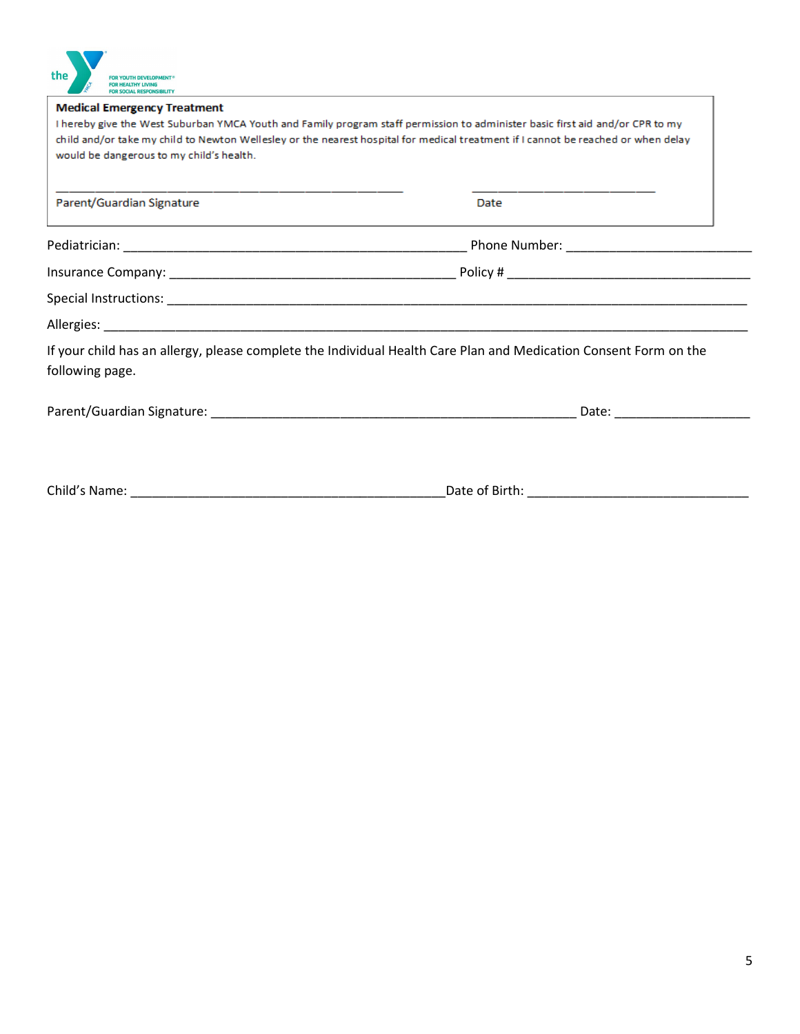| the<br><b>FOR YOUTH DEVELOPMENT®</b>     |                                                                                                                                   |
|------------------------------------------|-----------------------------------------------------------------------------------------------------------------------------------|
| <b>Medical Emergency Treatment</b>       |                                                                                                                                   |
|                                          | I hereby give the West Suburban YMCA Youth and Family program staff permission to administer basic first aid and/or CPR to my     |
|                                          | child and/or take my child to Newton Wellesley or the nearest hospital for medical treatment if I cannot be reached or when delay |
| would be dangerous to my child's health. |                                                                                                                                   |
| Parent/Guardian Signature                | Date                                                                                                                              |
|                                          |                                                                                                                                   |
|                                          |                                                                                                                                   |
|                                          |                                                                                                                                   |
|                                          |                                                                                                                                   |
| following page.                          | If your child has an allergy, please complete the Individual Health Care Plan and Medication Consent Form on the                  |
|                                          |                                                                                                                                   |
|                                          |                                                                                                                                   |
|                                          |                                                                                                                                   |

**N**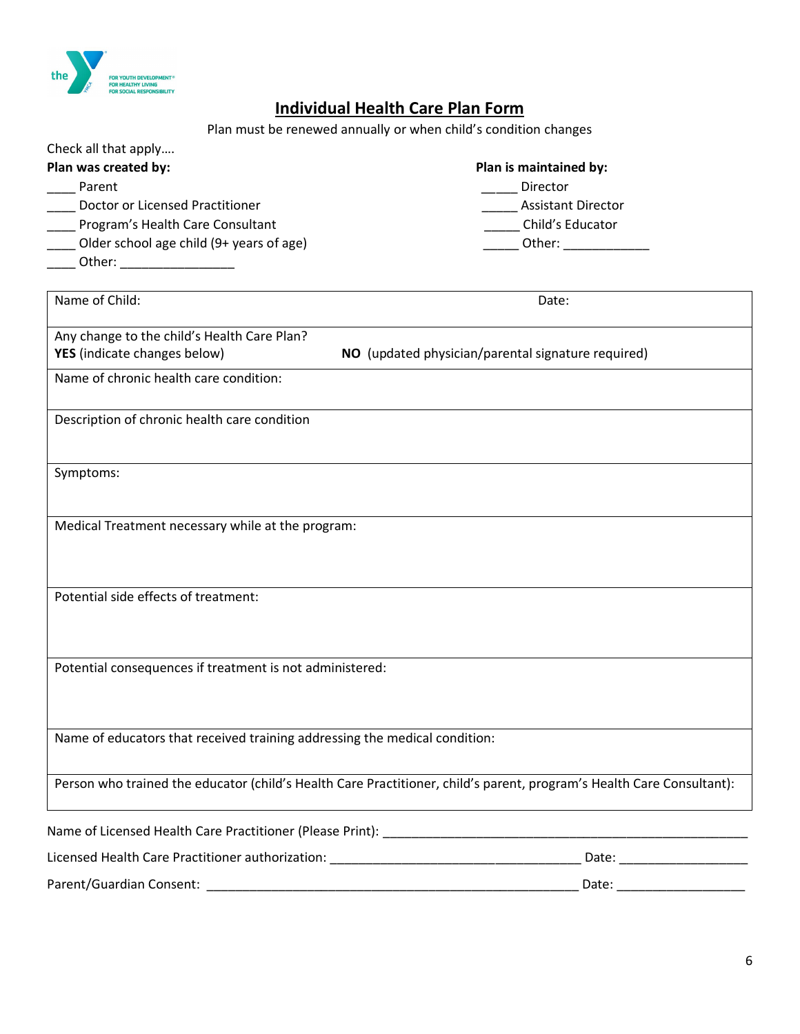

## **Individual Health Care Plan Form**

Plan must be renewed annually or when child's condition changes

| Check all that apply                     |                           |
|------------------------------------------|---------------------------|
| Plan was created by:                     | Plan is maintained by:    |
| Parent                                   | Director                  |
| Doctor or Licensed Practitioner          | <b>Assistant Director</b> |
| Program's Health Care Consultant         | Child's Educator          |
| Older school age child (9+ years of age) | Other:                    |
| Other:                                   |                           |

| Name of Child:                                                             | Date:                                                                                                                 |  |
|----------------------------------------------------------------------------|-----------------------------------------------------------------------------------------------------------------------|--|
| Any change to the child's Health Care Plan?                                |                                                                                                                       |  |
| YES (indicate changes below)                                               | NO (updated physician/parental signature required)                                                                    |  |
| Name of chronic health care condition:                                     |                                                                                                                       |  |
| Description of chronic health care condition                               |                                                                                                                       |  |
| Symptoms:                                                                  |                                                                                                                       |  |
| Medical Treatment necessary while at the program:                          |                                                                                                                       |  |
| Potential side effects of treatment:                                       |                                                                                                                       |  |
| Potential consequences if treatment is not administered:                   |                                                                                                                       |  |
| Name of educators that received training addressing the medical condition: |                                                                                                                       |  |
|                                                                            | Person who trained the educator (child's Health Care Practitioner, child's parent, program's Health Care Consultant): |  |
| Name of Licensed Health Care Practitioner (Please Print):                  |                                                                                                                       |  |

Licensed Health Care Practitioner authorization: \_\_\_\_\_\_\_\_\_\_\_\_\_\_\_\_\_\_\_\_\_\_\_\_\_\_\_\_\_\_\_\_\_\_\_ Date: \_\_\_\_\_\_\_\_\_\_\_\_\_\_\_\_\_\_ Parent/Guardian Consent: \_\_\_\_\_\_\_\_\_\_\_\_\_\_\_\_\_\_\_\_\_\_\_\_\_\_\_\_\_\_\_\_\_\_\_\_\_\_\_\_\_\_\_\_\_\_\_\_\_\_\_\_ Date: \_\_\_\_\_\_\_\_\_\_\_\_\_\_\_\_\_\_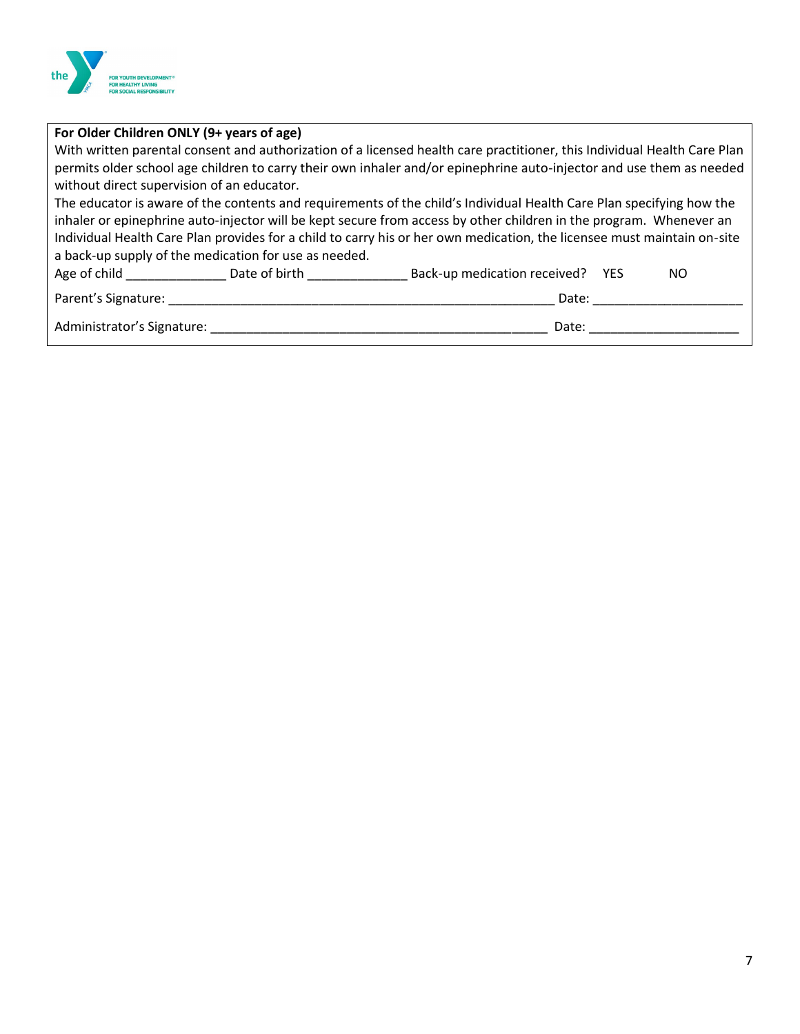

| For Older Children ONLY (9+ years of age)                                                                                |                                                                                                                         |  |
|--------------------------------------------------------------------------------------------------------------------------|-------------------------------------------------------------------------------------------------------------------------|--|
| With written parental consent and authorization of a licensed health care practitioner, this Individual Health Care Plan |                                                                                                                         |  |
| permits older school age children to carry their own inhaler and/or epinephrine auto-injector and use them as needed     |                                                                                                                         |  |
| without direct supervision of an educator.                                                                               |                                                                                                                         |  |
|                                                                                                                          | The educator is aware of the contents and requirements of the child's Individual Health Care Plan specifying how the    |  |
|                                                                                                                          | inhaler or epinephrine auto-injector will be kept secure from access by other children in the program. Whenever an      |  |
|                                                                                                                          | Individual Health Care Plan provides for a child to carry his or her own medication, the licensee must maintain on-site |  |
| a back-up supply of the medication for use as needed.                                                                    |                                                                                                                         |  |
| Age of child and the state of child<br>Date of birth <b>Example</b>                                                      | Back-up medication received?<br><b>YES</b><br>NO.                                                                       |  |
| Parent's Signature:                                                                                                      | Date:                                                                                                                   |  |
| Administrator's Signature:                                                                                               | Date:                                                                                                                   |  |